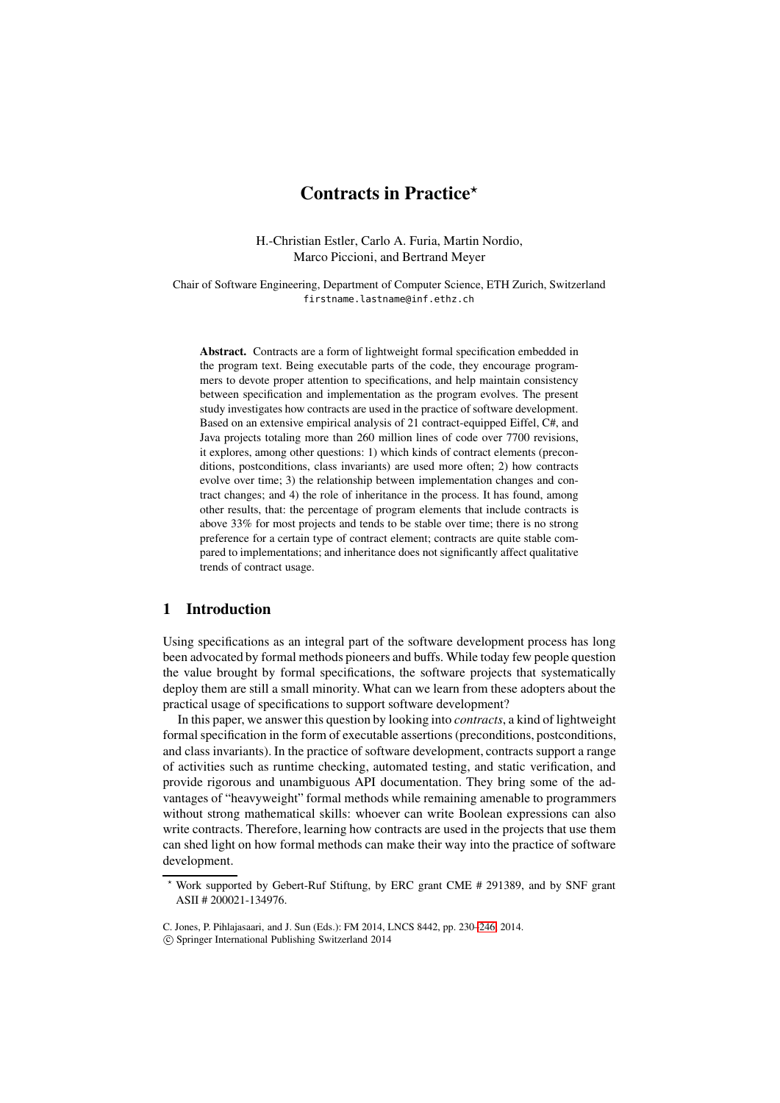# **Contracts in Practice***-*

H.-Christian Estler, Carlo A. Furia, Martin Nordio, Marco Piccioni, and Bertrand Meyer

Chair of Software Engineering, Department of Computer Science, ETH Zurich, Switzerland firstname.lastname@inf.ethz.ch

**Abstract.** Contracts are a form of lightweight formal specification embedded in the program text. Being executable parts of the code, they encourage programmers to devote proper attention to specifications, and help maintain consistency between specification and implementation as the program evolves. The present study investigates how contracts are used in the practice of software development. Based on an extensive empirical analysis of 21 contract-equipped Eiffel, C#, and Java projects totaling more than 260 million lines of code over 7700 revisions, it explores, among other questions: 1) which kinds of contract elements (preconditions, postconditions, class invariants) are used more often; 2) how contracts evolve over time; 3) the relationship between implementation changes and contract changes; and 4) the role of inheritance in the process. It has found, among other results, that: the percentage of program elements that include contracts is above 33% for most projects and tends to be stable over time; there is no strong preference for a certain type of contract element; contracts are quite stable compared to implementations; and inheritance does not significantly affect qualitative trends of contract usage.

# **1 Introduction**

Using specifications as an integral part of the software development process has long been advocated by formal methods pioneers and buffs. While today few people question the value brought by formal specifications, the software projects that systematically deploy them are still a small minority. What can we learn from these adopters about the practical usage of specifications to support software development?

In this paper, we answer this question by looking into *contracts*, a kind of lightweight formal specification in the form of executable assertions (preconditions, postconditions, and class invariants). In the practice of software development, contracts support a range of activities such as runtime checking, automated testing, and static verification, and provide rigorous and unambiguous API documentation. They bring some of the advantages of "heavyweight" formal methods while remaining amenable to programmers without strong mathematical skills: whoever can write Boolean expressions can also write contracts. Therefore, learning how contracts are used in the projects that use them can shed light on how formal methods can make their way into the practice of software development.

 $\star$  Work supported by Gebert-Ruf Stiftung, by ERC grant CME # 291389, and by SNF grant ASII # 200021-134976.

C. Jones, P. Pihlajasaari, and J. Sun (Eds.): FM 2014, LNCS 8442, pp. 230[–246,](#page-15-0) 2014.

<sup>-</sup>c Springer International Publishing Switzerland 2014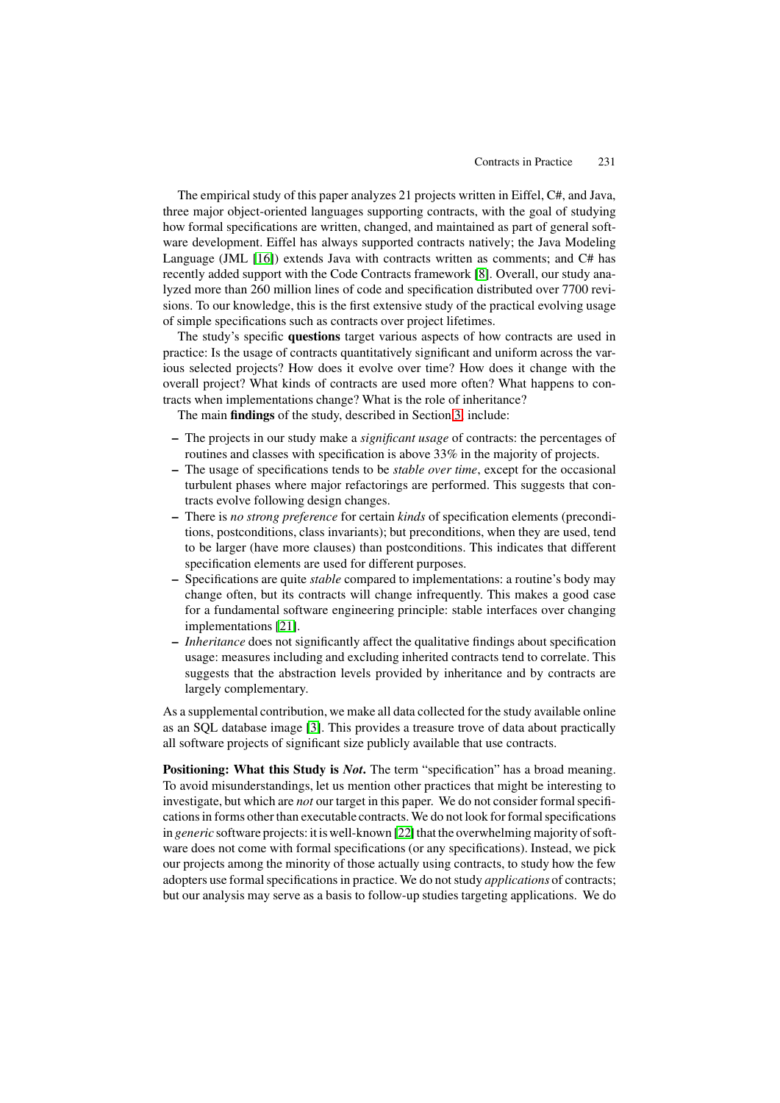#### Contracts in Practice 231

The empirical study of this paper analyzes 21 projects written in Eiffel, C#, and Java, three major object-oriented languages supporting contracts, with the goal of studying how formal specifications are written, changed, and maintained as part of general software development. Eiffel has always supported contracts natively; the Java Modeling Language (JML [\[16\]](#page-16-0)) extends Java with contracts written as comments; and C# has recently added support with the Code Contracts framework [\[8\]](#page-16-1). Overall, our study analyzed more than 260 million lines of code and specification distributed over 7700 revisions. To our knowledge, this is the first extensive study of the practical evolving usage of simple specifications such as contracts over project lifetimes.

The study's specific **questions** target various aspects of how contracts are used in practice: Is the usage of contracts quantitatively significant and uniform across the various selected projects? How does it evolve over time? How does it change with the overall project? What kinds of contracts are used more often? What happens to contracts when implementations change? What is the role of inheritance?

The main **findings** of the study, described in Section [3,](#page-3-0) include:

- **–** The projects in our study make a *significant usage* of contracts: the percentages of routines and classes with specification is above 33% in the majority of projects.
- **–** The usage of specifications tends to be *stable over time*, except for the occasional turbulent phases where major refactorings are performed. This suggests that contracts evolve following design changes.
- **–** There is *no strong preference* for certain *kinds* of specification elements (preconditions, postconditions, class invariants); but preconditions, when they are used, tend to be larger (have more clauses) than postconditions. This indicates that different specification elements are used for different purposes.
- **–** Specifications are quite *stable* compared to implementations: a routine's body may change often, but its contracts will change infrequently. This makes a good case for a fundamental software engineering principle: stable interfaces over changing implementations [\[21\]](#page-16-2).
- **–** *Inheritance* does not significantly affect the qualitative findings about specification usage: measures including and excluding inherited contracts tend to correlate. This suggests that the abstraction levels provided by inheritance and by contracts are largely complementary.

As a supplemental contribution, we make all data collected for the study available online as an SQL database image [\[3\]](#page-15-1). This provides a treasure trove of data about practically all software projects of significant size publicly available that use contracts.

**Positioning: What this Study is** *Not*. The term "specification" has a broad meaning. To avoid misunderstandings, let us mention other practices that might be interesting to investigate, but which are *not* our target in this paper. We do not consider formal specifications in forms other than executable contracts. We do not look for formal specifications in *generic* software projects: it is well-known [\[22\]](#page-16-3) that the overwhelming majority of software does not come with formal specifications (or any specifications). Instead, we pick our projects among the minority of those actually using contracts, to study how the few adopters use formal specifications in practice. We do not study *applications* of contracts; but our analysis may serve as a basis to follow-up studies targeting applications. We do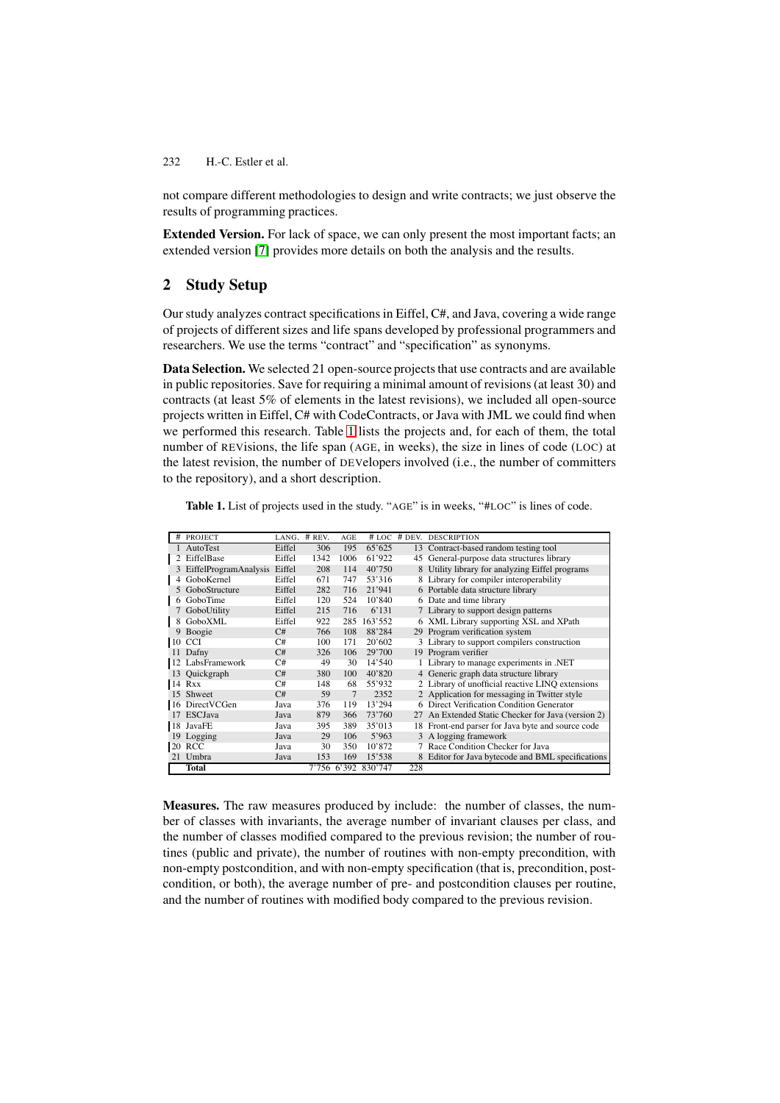not compare different methodologies to design and write contracts; we just observe the results of programming practices.

**Extended Version.** For lack of space, we can only present the most important facts; an extended version [\[7\]](#page-15-2) provides more details on both the analysis and the results.

# <span id="page-2-1"></span>**2 Study Setup**

Our study analyzes contract specifications in Eiffel, C#, and Java, covering a wide range of projects of different sizes and life spans developed by professional programmers and researchers. We use the terms "contract" and "specification" as synonyms.

**Data Selection.** We selected 21 open-source projects that use contracts and are available in public repositories. Save for requiring a minimal amount of revisions (at least 30) and contracts (at least 5% of elements in the latest revisions), we included all open-source projects written in Eiffel, C# with CodeContracts, or Java with JML we could find when we performed this research. Table [1](#page-2-0) lists the projects and, for each of them, the total number of REVisions, the life span (AGE, in weeks), the size in lines of code (LOC) at the latest revision, the number of DEVelopers involved (i.e., the number of committers to the repository), and a short description.

<span id="page-2-0"></span>**Table 1.** List of projects used in the study. "AGE" is in weeks, "#LOC" is lines of code.

| #   | PROJECT                        |        | LANG. # REV. | AGE         |         |     | # LOC # DEV. DESCRIPTION                          |
|-----|--------------------------------|--------|--------------|-------------|---------|-----|---------------------------------------------------|
|     | AutoTest                       | Eiffel | 306          | 195         | 65'625  |     | 13 Contract-based random testing tool             |
| 2.  | EiffelBase                     | Eiffel | 1342         | 1006        | 61'922  | 45  | General-purpose data structures library           |
|     | 3 EiffelProgramAnalysis Eiffel |        | 208          | 114         | 40'750  |     | Utility library for analyzing Eiffel programs     |
| 4   | GoboKernel                     | Eiffel | 671          | 747         | 53'316  | 8   | Library for compiler interoperability             |
| 5   | GoboStructure                  | Eiffel | 282          | 716         | 21'941  |     | 6 Portable data structure library                 |
| 6   | GoboTime                       | Eiffel | 120          | 524         | 10'840  | 6   | Date and time library                             |
|     | GoboUtility                    | Eiffel | 215          | 716         | 6'131   |     | 7 Library to support design patterns              |
| 8   | GoboXML                        | Eiffel | 922          | 285         | 163'552 |     | 6 XML Library supporting XSL and XPath            |
| 9   | Boogie                         | C#     | 766          | 108         | 88'284  | 29  | Program verification system                       |
| 10  | <b>CCI</b>                     | C#     | 100          | 171         | 20'602  |     | 3 Library to support compilers construction       |
| 11  | Dafny                          | C#     | 326          | 106         | 29'700  |     | 19 Program verifier                               |
| 12. | LabsFramework                  | C#     | 49           | 30          | 14'540  |     | Library to manage experiments in .NET             |
| 13  | Quickgraph                     | C#     | 380          | 100         | 40'820  |     | 4 Generic graph data structure library            |
| 14  | <b>Rxx</b>                     | C#     | 148          | 68          | 55'932  |     | 2 Library of unofficial reactive LINQ extensions  |
| 15  | Shweet                         | C#     | 59           | 7           | 2352    |     | 2 Application for messaging in Twitter style      |
| 16  | DirectVCGen                    | Java   | 376          | 119         | 13'294  |     | 6 Direct Verification Condition Generator         |
| 17  | <b>ESCJava</b>                 | Java   | 879          | 366         | 73'760  | 27  | An Extended Static Checker for Java (version 2)   |
| 18  | JavaFE                         | Java   | 395          | 389         | 35'013  | 18  | Front-end parser for Java byte and source code    |
| 19  | Logging                        | Java   | 29           | 106         | 5'963   | 3   | A logging framework                               |
| 20  | <b>RCC</b>                     | Java   | 30           | 350         | 10'872  |     | 7 Race Condition Checker for Java                 |
| 21  | Umbra                          | Java   | 153          | 169         | 15'538  |     | 8 Editor for Java bytecode and BML specifications |
|     | Total                          |        |              | 7'756 6'392 | 830'747 | 228 |                                                   |

**Measures.** The raw measures produced by include: the number of classes, the number of classes with invariants, the average number of invariant clauses per class, and the number of classes modified compared to the previous revision; the number of routines (public and private), the number of routines with non-empty precondition, with non-empty postcondition, and with non-empty specification (that is, precondition, postcondition, or both), the average number of pre- and postcondition clauses per routine, and the number of routines with modified body compared to the previous revision.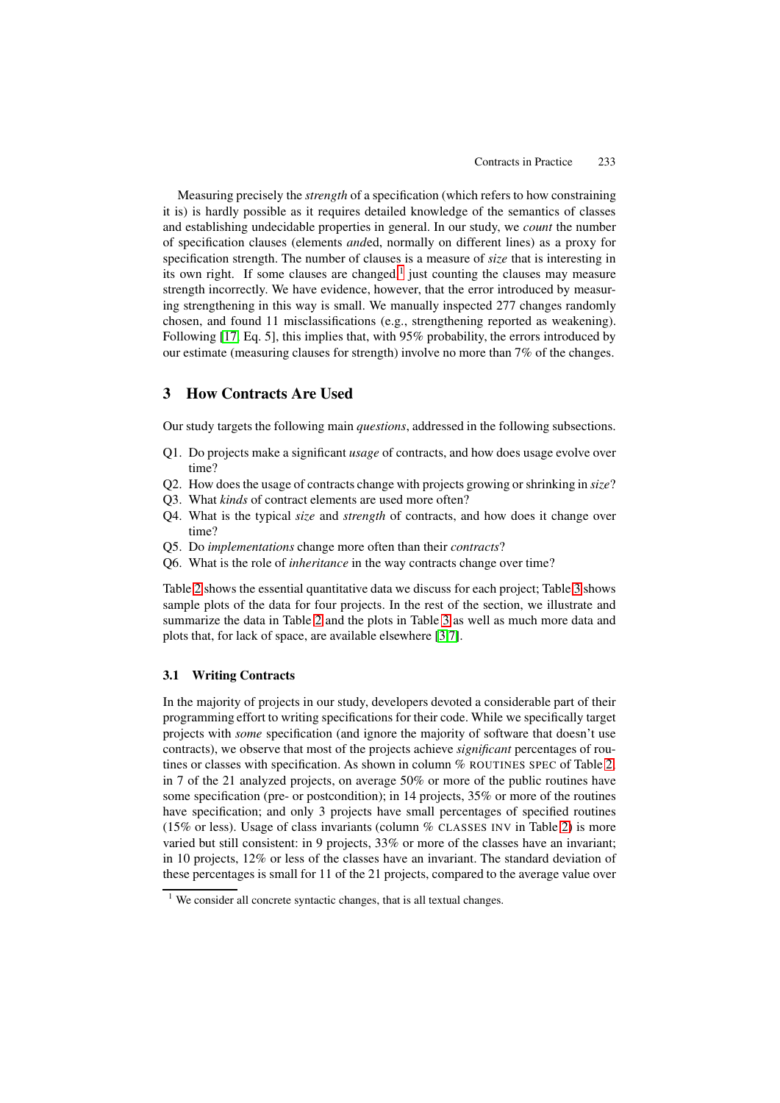Measuring precisely the *strength* of a specification (which refers to how constraining it is) is hardly possible as it requires detailed knowledge of the semantics of classes and establishing undecidable properties in general. In our study, we *count* the number of specification clauses (elements *and*ed, normally on different lines) as a proxy for specification strength. The number of clauses is a measure of *size* that is interesting in its own right. If some clauses are changed, $<sup>1</sup>$  $<sup>1</sup>$  $<sup>1</sup>$  just counting the clauses may measure</sup> strength incorrectly. We have evidence, however, that the error introduced by measuring strengthening in this way is small. We manually inspected 277 changes randomly chosen, and found 11 misclassifications (e.g., strengthening reported as weakening). Following [\[17,](#page-16-4) Eq. 5], this implies that, with 95% probability, the errors introduced by our estimate (measuring clauses for strength) involve no more than 7% of the changes.

# <span id="page-3-0"></span>**3 How Contracts Are Used**

Our study targets the following main *questions*, addressed in the following subsections.

- Q1. Do projects make a significant *usage* of contracts, and how does usage evolve over time?
- Q2. How does the usage of contracts change with projects growing or shrinking in *size*?
- Q3. What *kinds* of contract elements are used more often?
- Q4. What is the typical *size* and *strength* of contracts, and how does it change over time?
- Q5. Do *implementations* change more often than their *contracts*?
- Q6. What is the role of *inheritance* in the way contracts change over time?

Table [2](#page-4-0) shows the essential quantitative data we discuss for each project; Table [3](#page-5-0) shows sample plots of the data for four projects. In the rest of the section, we illustrate and summarize the data in Table [2](#page-4-0) and the plots in Table [3](#page-5-0) as well as much more data and plots that, for lack of space, are available elsewhere [\[3,](#page-15-1)[7\]](#page-15-2).

#### <span id="page-3-2"></span>**3.1 Writing Contracts**

In the majority of projects in our study, developers devoted a considerable part of their programming effort to writing specifications for their code. While we specifically target projects with *some* specification (and ignore the majority of software that doesn't use contracts), we observe that most of the projects achieve *significant* percentages of routines or classes with specification. As shown in column % ROUTINES SPEC of Table [2,](#page-4-0) in 7 of the 21 analyzed projects, on average 50% or more of the public routines have some specification (pre- or postcondition); in 14 projects, 35% or more of the routines have specification; and only 3 projects have small percentages of specified routines (15% or less). Usage of class invariants (column % CLASSES INV in Table [2\)](#page-4-0) is more varied but still consistent: in 9 projects, 33% or more of the classes have an invariant; in 10 projects, 12% or less of the classes have an invariant. The standard deviation of these percentages is small for 11 of the 21 projects, compared to the average value over

<span id="page-3-1"></span><sup>&</sup>lt;sup>1</sup> We consider all concrete syntactic changes, that is all textual changes.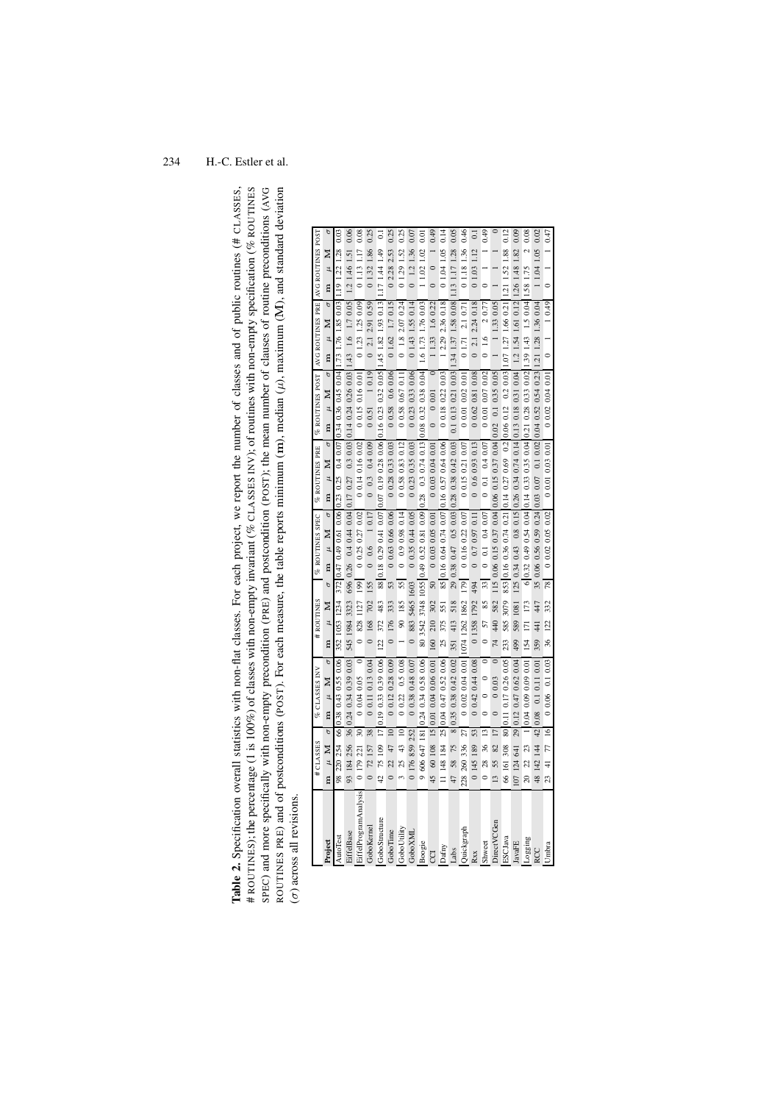| # ROUTINES); the percentage (1 is 100%) of classes with non-empty invariant (% CLASSES INV); of routines with non-empty specification (% ROUTINES |
|---------------------------------------------------------------------------------------------------------------------------------------------------|
| spec) and more specifically with non-empty precondition (PRE) and postcondition (POST); the mean number of clauses of routine preconditions (AVG  |
| ROUTINES PRE) and of postconditions (POST). For each measure, the table reports minimum (m), median $(\mu)$ , maximum (M), and standard deviation |
| $\sigma$ ) across all revisions.                                                                                                                  |

<span id="page-4-0"></span>

|                       | # CLASSES                                   |                          | % CLASSES INV                                   |                |                | # ROUTINES    |          |                 | % ROUTINES SPEC                                   |  | % ROUTINES PRE           | % ROUTINES POST   AVG ROUTINES PRE   AVG ROUTINES POST                                                                                                                                                                          |              |                         |                |                     |                       |                       |
|-----------------------|---------------------------------------------|--------------------------|-------------------------------------------------|----------------|----------------|---------------|----------|-----------------|---------------------------------------------------|--|--------------------------|---------------------------------------------------------------------------------------------------------------------------------------------------------------------------------------------------------------------------------|--------------|-------------------------|----------------|---------------------|-----------------------|-----------------------|
| Project               | $\mu$ M<br>$\overline{\mathbf{a}}$          | $\overline{6}$           | $m \mu M$                                       | $\overline{6}$ | $\mathbf{a}$   |               | $\mu$ M  | $\ddot{\sigma}$ | $m$ $\mu$ M $\sigma$                              |  | m $\mu$ M $\sigma$       | m $\mu$ M $\sigma$                                                                                                                                                                                                              | $\mathbf{a}$ | $\mu$ M                 | $\overline{6}$ | $\mathbf{a}$        | $\mathbb{Z}$<br>$\mu$ | $\ddot{\phantom{0}}$  |
| Auto <sub>Test</sub>  | 98 220 254                                  |                          |                                                 |                |                |               |          |                 |                                                   |  |                          | 66 66 1238 0.43 0.55 0.66 352 1053 1234 362 1234 0.49 0.49 0.49 0.49 0.49 0.49 0.34 0.36 0.46 0.46 0.46 0.46 0.46 0.47 0.036 0.47 0.36 0.47 0.36 0.47 0.36 0.47 0.36 0.47 0.36 0.47 0.36 0.47 0.36 0.47 0.36 0.47 0.36 0.47 0.2 |              |                         |                |                     |                       |                       |
| EiffelBase            | 256<br>93 184                               |                          | 36 0.24 0.34 0.39 0.03                          |                |                | 545 1984 3323 |          |                 |                                                   |  |                          | $696$   0.26 0.4 0.44 0.04   0.17 0.27 0.3 0.03   0.14 0.24 0.24 0.26 0.03   1.43 1.6 1.7 0.05                                                                                                                                  |              |                         |                | 1.2 1.46 1.51 0.06  |                       |                       |
| EiffelProgramAnalysis | 0 179 221                                   | $\overline{\mathbf{50}}$ | 0.04005                                         |                |                | 0 828 1127    |          |                 |                                                   |  |                          | $\begin{array}{cccccc} 0.25 & 0.25 & 0.27 & 0.02 \\ 0.025 & 0.27 & 0.02 & 0.14 & 0.16 & 0.02 \\ \end{array}$                                                                                                                    |              |                         |                |                     |                       | 0 1.13 1.17 0.08      |
| GoboKernel            | 72 157<br>$\overline{\phantom{0}}$          | 38                       | 0 0.11 0.13 0.04                                |                |                | 0 168 702     |          | 155             | $0.6$ 1 0.17                                      |  | $0.3$ 0.4 0.09           | 0 0.51 1 0.19                                                                                                                                                                                                                   |              | $0$ 2.1 2.91 0.59       |                |                     | 0 1.32 1.86           | 0.25                  |
| GoboStructure         | 75 109<br>$\frac{42}{5}$                    |                          | $17 0.19$ 0.33 0.39 0.06 122 372 483            |                |                |               |          |                 |                                                   |  |                          |                                                                                                                                                                                                                                 |              |                         |                |                     |                       |                       |
| GoboTime              | 47<br>$\overline{22}$<br>$\circ$            | $\equiv$                 | 0 0.12 0.28 0.09                                |                | $\circ$        | 176           | 333      | 53              | $0.63$ 0.66 0.06                                  |  | $0.28$ 0.33 0.03         | 0 0.58 0.6 0.06                                                                                                                                                                                                                 |              | $0$ 1.62 1.7 0.15       |                |                     | 0 2.28 2.53 0.25      |                       |
| GoboUtility           | 43<br>25<br>S                               | $\overline{a}$           | 0.022 0.5 0.08                                  |                | $\overline{a}$ | $\frac{8}{2}$ | 185      | 55              | $0.9$ 0.98 0.14                                   |  | 0 0.58 0.83 0.12         | 0 0.58 0.67 0.11                                                                                                                                                                                                                |              | $0 \t1.8 \t2.07 \t0.24$ |                |                     | 0 1.29 1.52 0.25      |                       |
| GoboXML               | 0 176 859 252                               |                          | 0 0.38 0.48 0.07                                |                | $\circ$        |               |          |                 | 883 5465 1603 0.35 0.44 0.05                      |  | $0.23$ 0.35 0.03         | $0.23$ 0.33 0.06                                                                                                                                                                                                                |              | $0$ 1.43 1.55 0.14      |                |                     | 0 1.2 1.36 0.07       |                       |
| Boogie                | 606 647 181 0.24 0.34 0.58 0.06<br>o        |                          |                                                 |                |                |               |          |                 |                                                   |  |                          | 80 3542 3748 1055 0.49 0.52 0.81 0.09 0.28 0.3 0.74 0.13 0.08 0.32 0.32 0.38 0.04 1.6 1.73 1.76 0.03                                                                                                                            |              |                         |                |                     | 1 1.02 1.02 0.01      |                       |
| g                     | 60 108<br>45                                |                          | 15 0.01 0.04 0.06 0.01                          |                | 160            |               | 210 302  | $\frac{50}{ }$  | 0 0.03 0.05 0.01                                  |  | 0.03004001               | 0 0 0 0 0                                                                                                                                                                                                                       |              | 1 1.33 1.6 0.22         |                |                     |                       | $0 \t 0 \t 1 \t 0.49$ |
| Dafny                 | 11 148 184                                  |                          | 25 0.04 0.47 0.52 0.06                          |                | $25 \,$        | 375           | 551      |                 | 85 0.16 0.64 0.74 0.07 0.16 0.57 0.64 0.06        |  |                          | 0 0.18 0.22 0.03                                                                                                                                                                                                                |              | 1 2.29 2.36 0.18        |                |                     |                       | 0 1.04 1.05 0.14      |
| Labs                  | 47 58 75                                    |                          | 8 0.35 0.38 0.42 0.02                           |                |                | 351 413 518   |          |                 | 29 0.38 0.47 0.5 0.03 0.28 0.38 0.42 0.03         |  |                          | $0.1$ 0.13 0.21 0.03 1.34 1.37 1.58 0.08 1.13 1.17 1.28 0.05                                                                                                                                                                    |              |                         |                |                     |                       |                       |
| Quickgraph            | 228 260 336                                 | 27                       | 0 0.02 0.04 0.01 1074 1262 1862                 |                |                |               |          |                 | $179$ 0.16 0.22 0.07 0.015 0.21 0.07              |  |                          | 0 0.01 0.02 0.01                                                                                                                                                                                                                |              | 0 1.71 2.1 0.71         |                |                     |                       | 0 1.18 1.36 0.46      |
| <b>Rxx</b>            | 0 145 189                                   | 53                       | 0 0.42 0.44 0.08                                |                |                |               |          |                 | $0.1358 \t1792 \t494 \t0 \t0 \t0.7 \t0.97 \t0.11$ |  | $0\quad 0.6\ 0.93\ 0.13$ | 0 0.62 0.81 0.08                                                                                                                                                                                                                |              | $0$ 2.1 2.24 $0.18$     |                |                     | 0 1.03 1.12 0.1       |                       |
| Shweet                | $\frac{36}{5}$<br>$\frac{28}{3}$<br>$\circ$ | 13                       | $\begin{matrix} 0 \\ 0 \end{matrix}$<br>$\circ$ | $\circ$        | $\circ$        | 57            | 85       | 33              | $0.01$ 0.4 0.07                                   |  | $0.0$ 0.1 0.4 0.07       | 0 0.01 0.07 0.02                                                                                                                                                                                                                |              | $0 \t1.6 \t2 \t0.77$    |                |                     |                       | $0 \t1 \t1 \t0.49$    |
| DirectVCGen           | 82<br>55<br>$\frac{3}{2}$                   | 17                       | $0 \t 0.03 \t 0$                                |                | 74             |               |          |                 |                                                   |  |                          | 440 582 115 0.06 0.15 0.37 0.04 0.06 0.15 0.37 0.04 0.02 0.1 0.35 0.05 1 1 1 1 1.33 0.05                                                                                                                                        |              |                         |                | $1 \quad 1 \quad 1$ |                       |                       |
| ESCJava               | 66 161 308                                  |                          | 80 0.11 0.17 0.26 0.05                          |                | 233            |               | 585 3079 |                 |                                                   |  |                          | 853 0.16 0.36 0.74 0.21 0.14 0.27 0.69 0.2 0.06 0.12 0.2 0.03 1.07 1.27 1.66 0.21 1.21 1.52 1.88 0.12                                                                                                                           |              |                         |                |                     |                       |                       |
| <b>JavaFE</b>         | 107 124 641                                 |                          | 29 0.12 0.47 0.62 0.04                          |                | 499            |               |          |                 |                                                   |  |                          | 589 1021 125 0.34 0.43 0.8 0.15 0.26 0.34 0.34 0.74 0.13 0.81 0.04 1.2 1.34 1.54 1.61 0.12 1.26 1.48 1.82 0.09                                                                                                                  |              |                         |                |                     |                       |                       |
| Logging               | 22 23<br>$\approx$                          |                          | 10.04009009001                                  |                | 154            |               | 171 173  |                 |                                                   |  |                          | $6 0.32 0.49 0.54 0.04 0.14 0.33 0.35 0.04 0.21 0.28 0.33 0.033 0.02 1.39 1.43 1.43 1.58 1.75$                                                                                                                                  |              |                         |                |                     |                       | 2 0.08                |
| <b>RCC</b>            | 48 142 144                                  |                          | 42 0.08 0.1 0.11 0.01                           |                | 359            | 441 447       |          |                 |                                                   |  |                          | 35 0.06 0.56 0.59 0.24 0.03 0.07 0.1 0.02 0.04 0.52 0.54 0.23 1.21 1.21 1.28 1.36 0.04 1 1.05 0.02                                                                                                                              |              |                         |                |                     |                       |                       |
| Umbra                 | 41 77<br>23                                 |                          |                                                 |                |                |               |          |                 |                                                   |  |                          |                                                                                                                                                                                                                                 |              |                         |                | $0 \t 1 \t 0.47$    |                       |                       |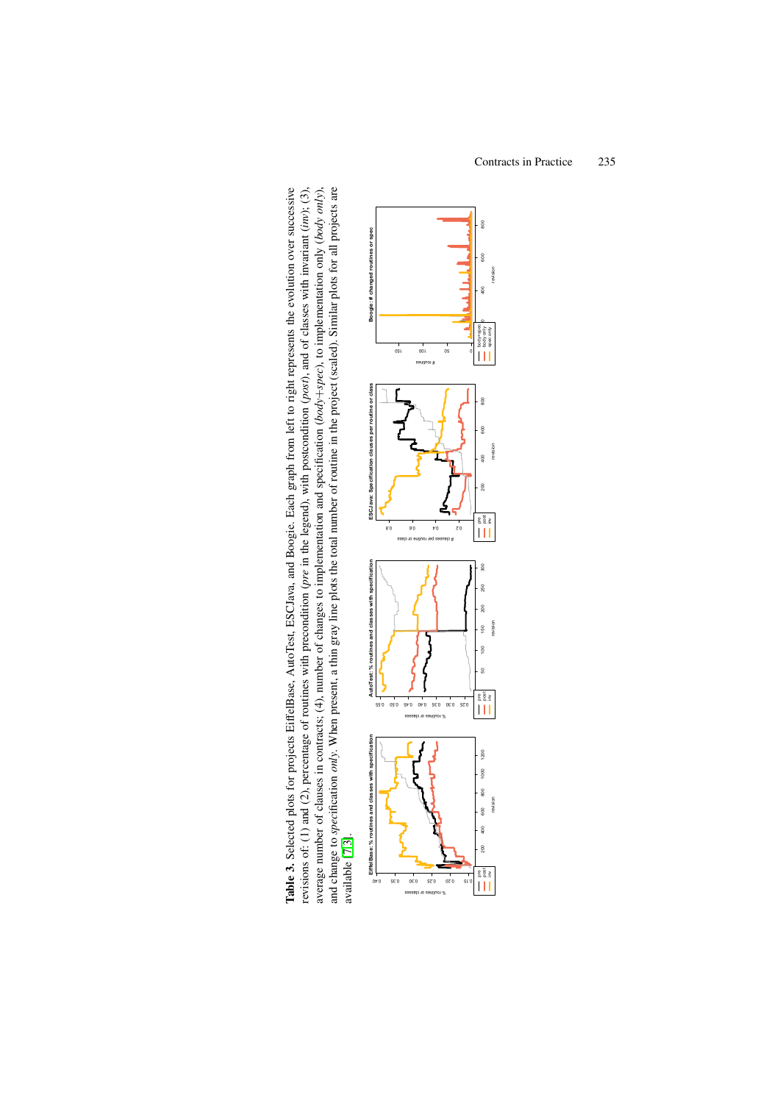<span id="page-5-0"></span>

Table 3. Selected plots for projects EiffelBase, AutoTest, ESCJava, and Boogie. Each graph from left to right represents the evolution over successive revisions of: (1) and (2), percentage of routines with precondition (pre in the legend), with postcondition (post), and of classes with invariant (inv); (3), average number of clauses in contracts; (4), number of changes to implementation and specification (body+spec), to implementation only (body only), and change to specification only. When present, a thin gray line plots the total number of routine in the project (scaled). Similar plots for all projects are and change to *spec*ification *only*. When present, a thin gray line plots the total number of routine in the project (scaled). Similar plots for all projects are **Table 3.** Selected plots for projects EiffelBase, AutoTest, ESCJava, and Boogie. Each graph from left to right represents the evolution over successive revisions of: (1) and (2), percentage of routines with precondition (*pre* in the legend), with postcondition (*post*), and of classes with invariant (*inv*); (3), +*spec*), to implementation only (*body only*), average number of clauses in contracts; (4), number of changes to implementation and specification (*body* available [7,3]. available [\[7,](#page-15-2)[3\]](#page-15-1).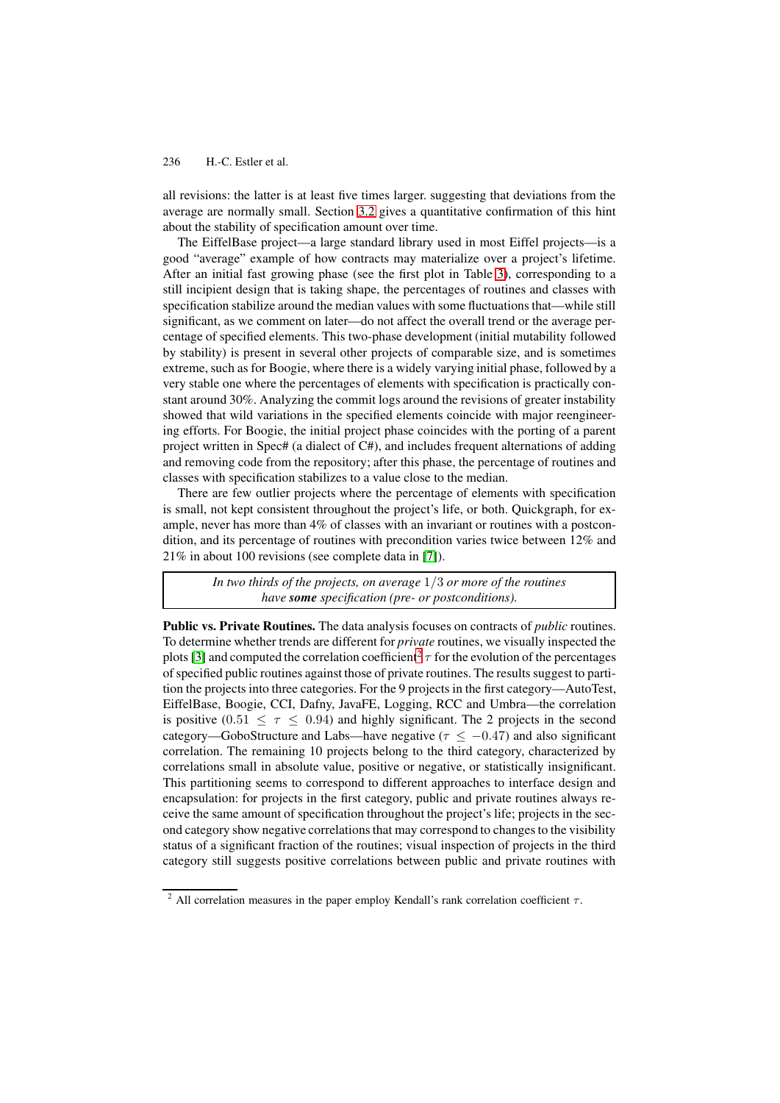all revisions: the latter is at least five times larger. suggesting that deviations from the average are normally small. Section [3.2](#page-7-0) gives a quantitative confirmation of this hint about the stability of specification amount over time.

The EiffelBase project—a large standard library used in most Eiffel projects—is a good "average" example of how contracts may materialize over a project's lifetime. After an initial fast growing phase (see the first plot in Table [3\)](#page-5-0), corresponding to a still incipient design that is taking shape, the percentages of routines and classes with specification stabilize around the median values with some fluctuations that—while still significant, as we comment on later—do not affect the overall trend or the average percentage of specified elements. This two-phase development (initial mutability followed by stability) is present in several other projects of comparable size, and is sometimes extreme, such as for Boogie, where there is a widely varying initial phase, followed by a very stable one where the percentages of elements with specification is practically constant around 30%. Analyzing the commit logs around the revisions of greater instability showed that wild variations in the specified elements coincide with major reengineering efforts. For Boogie, the initial project phase coincides with the porting of a parent project written in Spec# (a dialect of  $C#$ ), and includes frequent alternations of adding and removing code from the repository; after this phase, the percentage of routines and classes with specification stabilizes to a value close to the median.

There are few outlier projects where the percentage of elements with specification is small, not kept consistent throughout the project's life, or both. Quickgraph, for example, never has more than 4% of classes with an invariant or routines with a postcondition, and its percentage of routines with precondition varies twice between 12% and 21% in about 100 revisions (see complete data in [\[7\]](#page-15-2)).

> *In two thirds of the projects, on average* 1/3 *or more of the routines have some specification (pre- or postconditions).*

**Public vs. Private Routines.** The data analysis focuses on contracts of *public* routines. To determine whether trends are different for *private* routines, we visually inspected the plots [\[3\]](#page-15-1) and computed the correlation coefficient<sup>2</sup>  $\tau$  for the evolution of the percentages of specified public routines against those of private routines. The results suggest to partition the projects into three categories. For the 9 projects in the first category—AutoTest, EiffelBase, Boogie, CCI, Dafny, JavaFE, Logging, RCC and Umbra—the correlation is positive (0.51  $\leq \tau \leq$  0.94) and highly significant. The 2 projects in the second category—GoboStructure and Labs—have negative ( $\tau \leq -0.47$ ) and also significant correlation. The remaining 10 projects belong to the third category, characterized by correlations small in absolute value, positive or negative, or statistically insignificant. This partitioning seems to correspond to different approaches to interface design and encapsulation: for projects in the first category, public and private routines always receive the same amount of specification throughout the project's life; projects in the second category show negative correlations that may correspond to changes to the visibility status of a significant fraction of the routines; visual inspection of projects in the third category still suggests positive correlations between public and private routines with

<span id="page-6-0"></span><sup>&</sup>lt;sup>2</sup> All correlation measures in the paper employ Kendall's rank correlation coefficient  $\tau$ .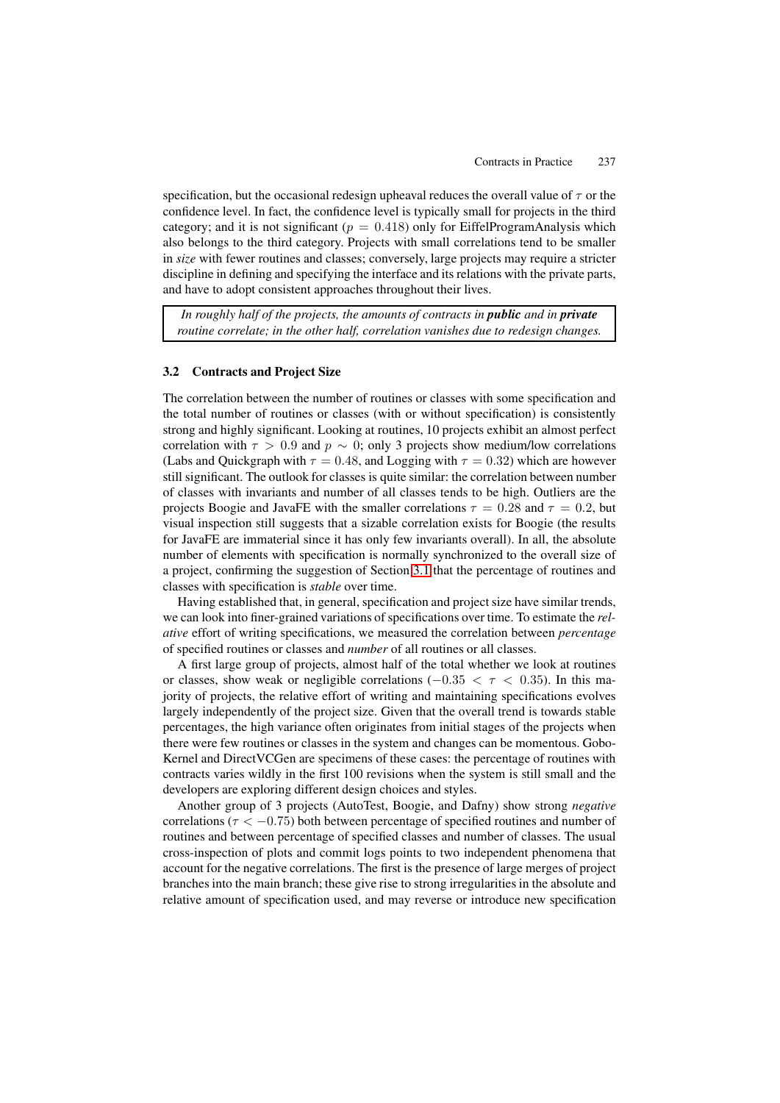specification, but the occasional redesign upheaval reduces the overall value of  $\tau$  or the confidence level. In fact, the confidence level is typically small for projects in the third category; and it is not significant ( $p = 0.418$ ) only for EiffelProgramAnalysis which also belongs to the third category. Projects with small correlations tend to be smaller in *size* with fewer routines and classes; conversely, large projects may require a stricter discipline in defining and specifying the interface and its relations with the private parts, and have to adopt consistent approaches throughout their lives.

*In roughly half of the projects, the amounts of contracts in public and in private routine correlate; in the other half, correlation vanishes due to redesign changes.*

## <span id="page-7-0"></span>**3.2 Contracts and Project Size**

The correlation between the number of routines or classes with some specification and the total number of routines or classes (with or without specification) is consistently strong and highly significant. Looking at routines, 10 projects exhibit an almost perfect correlation with  $\tau > 0.9$  and  $p \sim 0$ ; only 3 projects show medium/low correlations (Labs and Quickgraph with  $\tau = 0.48$ , and Logging with  $\tau = 0.32$ ) which are however still significant. The outlook for classes is quite similar: the correlation between number of classes with invariants and number of all classes tends to be high. Outliers are the projects Boogie and JavaFE with the smaller correlations  $\tau = 0.28$  and  $\tau = 0.2$ , but visual inspection still suggests that a sizable correlation exists for Boogie (the results for JavaFE are immaterial since it has only few invariants overall). In all, the absolute number of elements with specification is normally synchronized to the overall size of a project, confirming the suggestion of Section [3.1](#page-3-2) that the percentage of routines and classes with specification is *stable* over time.

Having established that, in general, specification and project size have similar trends, we can look into finer-grained variations of specifications over time. To estimate the *relative* effort of writing specifications, we measured the correlation between *percentage* of specified routines or classes and *number* of all routines or all classes.

A first large group of projects, almost half of the total whether we look at routines or classes, show weak or negligible correlations ( $-0.35 < \tau < 0.35$ ). In this majority of projects, the relative effort of writing and maintaining specifications evolves largely independently of the project size. Given that the overall trend is towards stable percentages, the high variance often originates from initial stages of the projects when there were few routines or classes in the system and changes can be momentous. Gobo-Kernel and DirectVCGen are specimens of these cases: the percentage of routines with contracts varies wildly in the first 100 revisions when the system is still small and the developers are exploring different design choices and styles.

Another group of 3 projects (AutoTest, Boogie, and Dafny) show strong *negative* correlations ( $\tau < -0.75$ ) both between percentage of specified routines and number of routines and between percentage of specified classes and number of classes. The usual cross-inspection of plots and commit logs points to two independent phenomena that account for the negative correlations. The first is the presence of large merges of project branches into the main branch; these give rise to strong irregularities in the absolute and relative amount of specification used, and may reverse or introduce new specification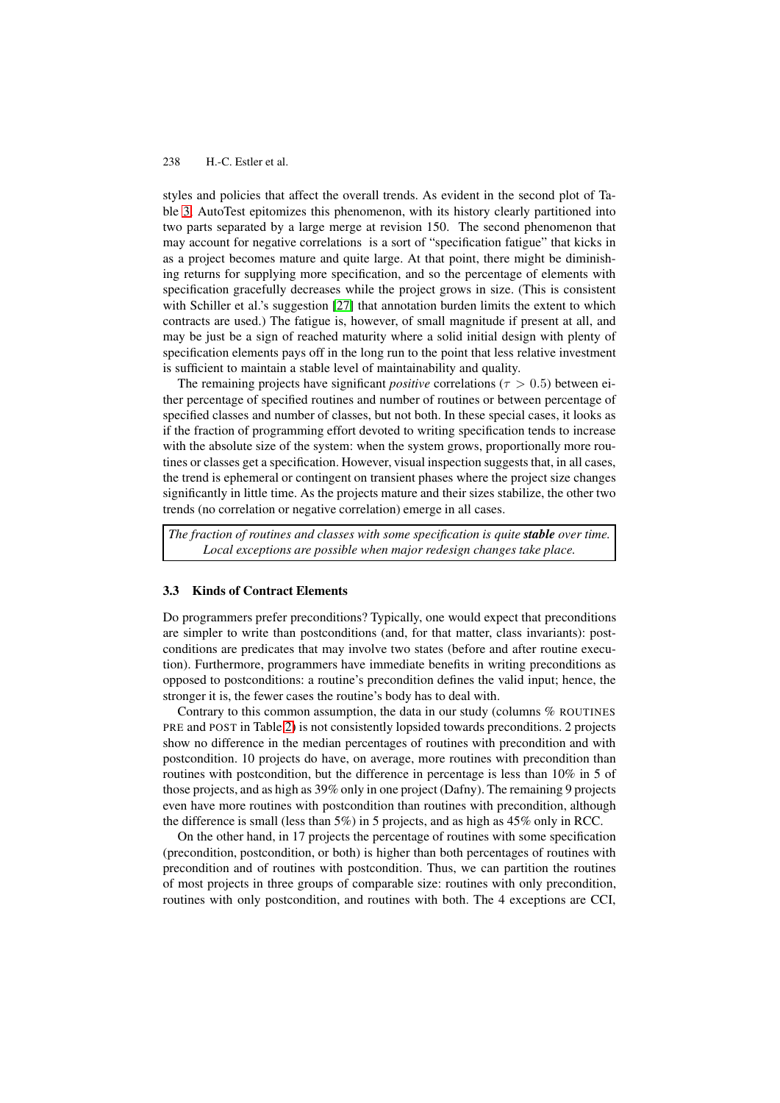styles and policies that affect the overall trends. As evident in the second plot of Table [3,](#page-5-0) AutoTest epitomizes this phenomenon, with its history clearly partitioned into two parts separated by a large merge at revision 150. The second phenomenon that may account for negative correlations is a sort of "specification fatigue" that kicks in as a project becomes mature and quite large. At that point, there might be diminishing returns for supplying more specification, and so the percentage of elements with specification gracefully decreases while the project grows in size. (This is consistent with Schiller et al.'s suggestion [\[27\]](#page-16-5) that annotation burden limits the extent to which contracts are used.) The fatigue is, however, of small magnitude if present at all, and may be just be a sign of reached maturity where a solid initial design with plenty of specification elements pays off in the long run to the point that less relative investment is sufficient to maintain a stable level of maintainability and quality.

The remaining projects have significant *positive* correlations ( $\tau > 0.5$ ) between either percentage of specified routines and number of routines or between percentage of specified classes and number of classes, but not both. In these special cases, it looks as if the fraction of programming effort devoted to writing specification tends to increase with the absolute size of the system: when the system grows, proportionally more routines or classes get a specification. However, visual inspection suggests that, in all cases, the trend is ephemeral or contingent on transient phases where the project size changes significantly in little time. As the projects mature and their sizes stabilize, the other two trends (no correlation or negative correlation) emerge in all cases.

*The fraction of routines and classes with some specification is quite stable over time. Local exceptions are possible when major redesign changes take place.*

#### <span id="page-8-0"></span>**3.3 Kinds of Contract Elements**

Do programmers prefer preconditions? Typically, one would expect that preconditions are simpler to write than postconditions (and, for that matter, class invariants): postconditions are predicates that may involve two states (before and after routine execution). Furthermore, programmers have immediate benefits in writing preconditions as opposed to postconditions: a routine's precondition defines the valid input; hence, the stronger it is, the fewer cases the routine's body has to deal with.

Contrary to this common assumption, the data in our study (columns % ROUTINES PRE and POST in Table [2\)](#page-4-0) is not consistently lopsided towards preconditions. 2 projects show no difference in the median percentages of routines with precondition and with postcondition. 10 projects do have, on average, more routines with precondition than routines with postcondition, but the difference in percentage is less than  $10\%$  in 5 of those projects, and as high as 39% only in one project (Dafny). The remaining 9 projects even have more routines with postcondition than routines with precondition, although the difference is small (less than 5%) in 5 projects, and as high as 45% only in RCC.

On the other hand, in 17 projects the percentage of routines with some specification (precondition, postcondition, or both) is higher than both percentages of routines with precondition and of routines with postcondition. Thus, we can partition the routines of most projects in three groups of comparable size: routines with only precondition, routines with only postcondition, and routines with both. The 4 exceptions are CCI,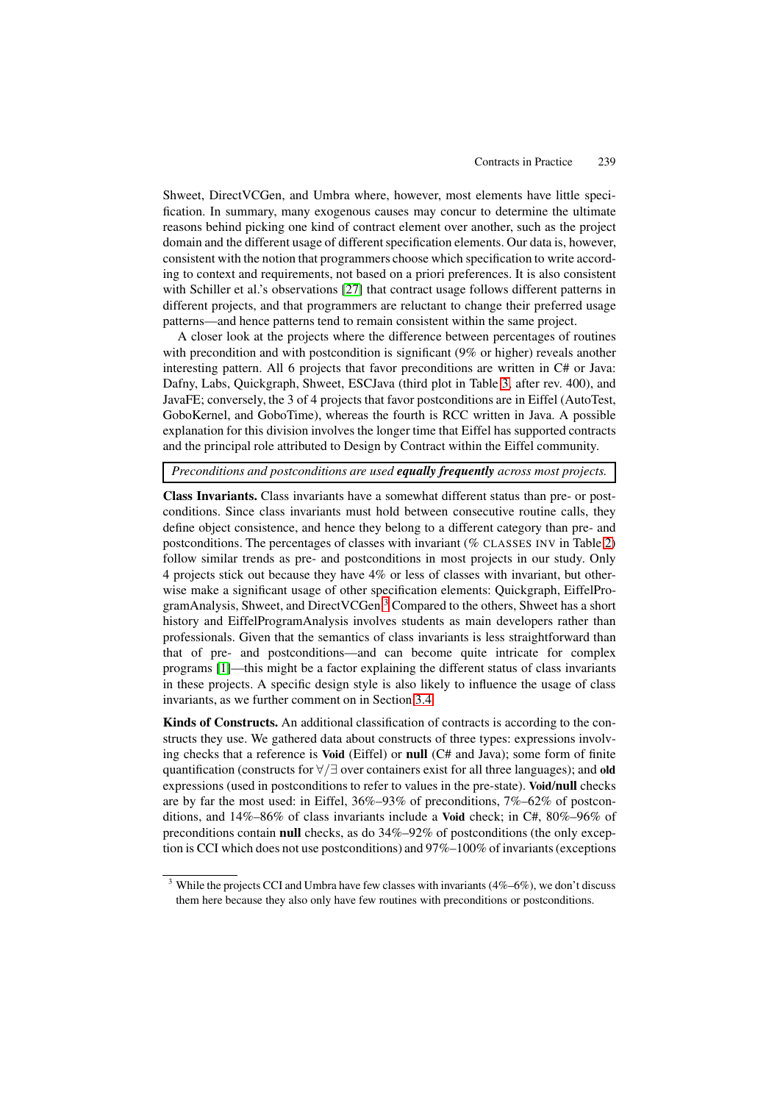Shweet, DirectVCGen, and Umbra where, however, most elements have little specification. In summary, many exogenous causes may concur to determine the ultimate reasons behind picking one kind of contract element over another, such as the project domain and the different usage of different specification elements. Our data is, however, consistent with the notion that programmers choose which specification to write according to context and requirements, not based on a priori preferences. It is also consistent with Schiller et al.'s observations [\[27\]](#page-16-5) that contract usage follows different patterns in different projects, and that programmers are reluctant to change their preferred usage patterns—and hence patterns tend to remain consistent within the same project.

A closer look at the projects where the difference between percentages of routines with precondition and with postcondition is significant (9% or higher) reveals another interesting pattern. All 6 projects that favor preconditions are written in C# or Java: Dafny, Labs, Quickgraph, Shweet, ESCJava (third plot in Table [3,](#page-5-0) after rev. 400), and JavaFE; conversely, the 3 of 4 projects that favor postconditions are in Eiffel (AutoTest, GoboKernel, and GoboTime), whereas the fourth is RCC written in Java. A possible explanation for this division involves the longer time that Eiffel has supported contracts and the principal role attributed to Design by Contract within the Eiffel community.

*Preconditions and postconditions are used equally frequently across most projects.*

**Class Invariants.** Class invariants have a somewhat different status than pre- or postconditions. Since class invariants must hold between consecutive routine calls, they define object consistence, and hence they belong to a different category than pre- and postconditions. The percentages of classes with invariant (% CLASSES INV in Table [2\)](#page-4-0) follow similar trends as pre- and postconditions in most projects in our study. Only 4 projects stick out because they have 4% or less of classes with invariant, but otherwise make a significant usage of other specification elements: Quickgraph, EiffelProgramAnalysis, Shweet, and DirectVCGen[.3](#page-9-0) Compared to the others, Shweet has a short history and EiffelProgramAnalysis involves students as main developers rather than professionals. Given that the semantics of class invariants is less straightforward than that of pre- and postconditions—and can become quite intricate for complex programs [\[1\]](#page-15-3)—this might be a factor explaining the different status of class invariants in these projects. A specific design style is also likely to influence the usage of class invariants, as we further comment on in Section [3.4.](#page-10-0)

**Kinds of Constructs.** An additional classification of contracts is according to the constructs they use. We gathered data about constructs of three types: expressions involving checks that a reference is **Void** (Eiffel) or **null** (C# and Java); some form of finite quantification (constructs for <sup>∀</sup>/<sup>∃</sup> over containers exist for all three languages); and **old** expressions (used in postconditions to refer to values in the pre-state). **Void**/**null** checks are by far the most used: in Eiffel, 36%–93% of preconditions, 7%–62% of postconditions, and 14%–86% of class invariants include a **Void** check; in C#, 80%–96% of preconditions contain **null** checks, as do 34%–92% of postconditions (the only exception is CCI which does not use postconditions) and 97%–100% of invariants (exceptions

<span id="page-9-0"></span><sup>&</sup>lt;sup>3</sup> While the projects CCI and Umbra have few classes with invariants  $(4\% - 6\%)$ , we don't discuss them here because they also only have few routines with preconditions or postconditions.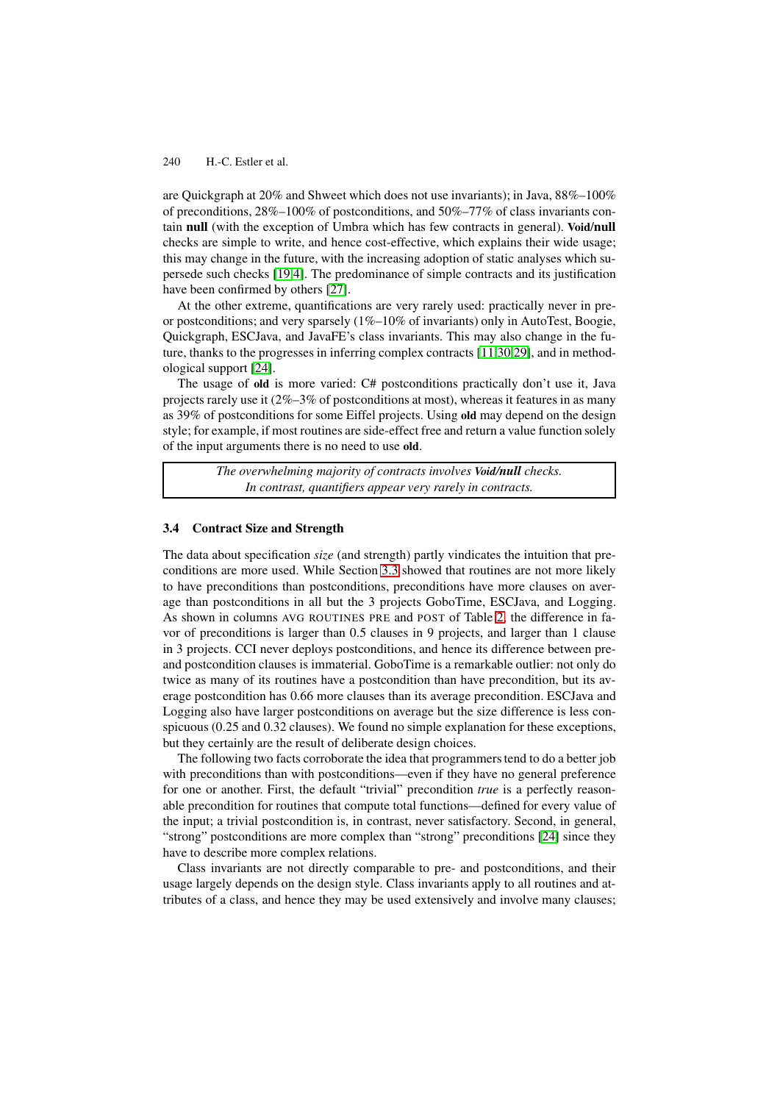are Quickgraph at 20% and Shweet which does not use invariants); in Java, 88%–100% of preconditions,  $28\% - 100\%$  of postconditions, and  $50\% - 77\%$  of class invariants contain **null** (with the exception of Umbra which has few contracts in general). **Void**/**null** checks are simple to write, and hence cost-effective, which explains their wide usage; this may change in the future, with the increasing adoption of static analyses which supersede such checks [\[19,](#page-16-6)[4\]](#page-15-4). The predominance of simple contracts and its justification have been confirmed by others [\[27\]](#page-16-5).

At the other extreme, quantifications are very rarely used: practically never in preor postconditions; and very sparsely (1%–10% of invariants) only in AutoTest, Boogie, Quickgraph, ESCJava, and JavaFE's class invariants. This may also change in the future, thanks to the progresses in inferring complex contracts [\[11](#page-16-7)[,30,](#page-16-8)[29\]](#page-16-9), and in methodological support [\[24\]](#page-16-10).

The usage of **old** is more varied: C# postconditions practically don't use it, Java projects rarely use it  $(2\% - 3\%$  of postconditions at most), whereas it features in as many as 39% of postconditions for some Eiffel projects. Using **old** may depend on the design style; for example, if most routines are side-effect free and return a value function solely of the input arguments there is no need to use **old**.

> *The overwhelming majority of contracts involves Void/null checks. In contrast, quantifiers appear very rarely in contracts.*

## <span id="page-10-0"></span>**3.4 Contract Size and Strength**

The data about specification *size* (and strength) partly vindicates the intuition that preconditions are more used. While Section [3.3](#page-8-0) showed that routines are not more likely to have preconditions than postconditions, preconditions have more clauses on average than postconditions in all but the 3 projects GoboTime, ESCJava, and Logging. As shown in columns AVG ROUTINES PRE and POST of Table [2,](#page-4-0) the difference in favor of preconditions is larger than 0.5 clauses in 9 projects, and larger than 1 clause in 3 projects. CCI never deploys postconditions, and hence its difference between preand postcondition clauses is immaterial. GoboTime is a remarkable outlier: not only do twice as many of its routines have a postcondition than have precondition, but its average postcondition has 0.66 more clauses than its average precondition. ESCJava and Logging also have larger postconditions on average but the size difference is less conspicuous (0.25 and 0.32 clauses). We found no simple explanation for these exceptions, but they certainly are the result of deliberate design choices.

The following two facts corroborate the idea that programmers tend to do a better job with preconditions than with postconditions—even if they have no general preference for one or another. First, the default "trivial" precondition *true* is a perfectly reasonable precondition for routines that compute total functions—defined for every value of the input; a trivial postcondition is, in contrast, never satisfactory. Second, in general, "strong" postconditions are more complex than "strong" preconditions [\[24\]](#page-16-10) since they have to describe more complex relations.

Class invariants are not directly comparable to pre- and postconditions, and their usage largely depends on the design style. Class invariants apply to all routines and attributes of a class, and hence they may be used extensively and involve many clauses;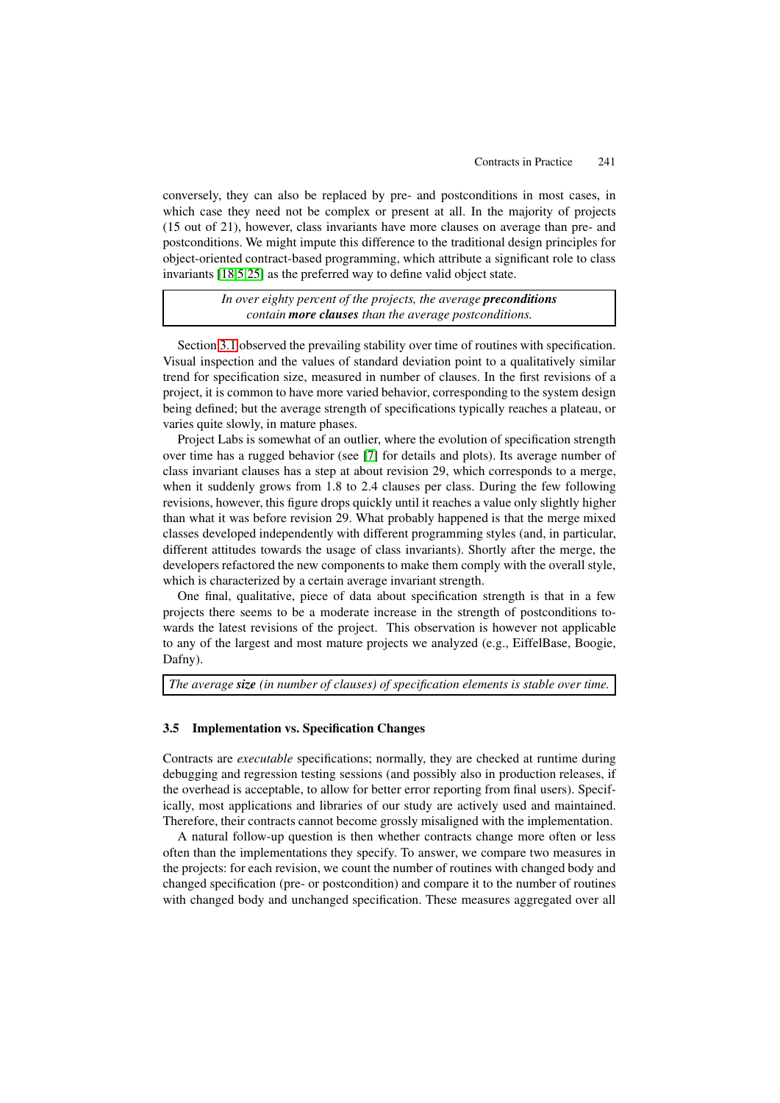conversely, they can also be replaced by pre- and postconditions in most cases, in which case they need not be complex or present at all. In the majority of projects (15 out of 21), however, class invariants have more clauses on average than pre- and postconditions. We might impute this difference to the traditional design principles for object-oriented contract-based programming, which attribute a significant role to class invariants [\[18,](#page-16-11)[5,](#page-15-5)[25\]](#page-16-12) as the preferred way to define valid object state.

> *In over eighty percent of the projects, the average preconditions contain more clauses than the average postconditions.*

Section [3.1](#page-3-2) observed the prevailing stability over time of routines with specification. Visual inspection and the values of standard deviation point to a qualitatively similar trend for specification size, measured in number of clauses. In the first revisions of a project, it is common to have more varied behavior, corresponding to the system design being defined; but the average strength of specifications typically reaches a plateau, or varies quite slowly, in mature phases.

Project Labs is somewhat of an outlier, where the evolution of specification strength over time has a rugged behavior (see [\[7\]](#page-15-2) for details and plots). Its average number of class invariant clauses has a step at about revision 29, which corresponds to a merge, when it suddenly grows from 1.8 to 2.4 clauses per class. During the few following revisions, however, this figure drops quickly until it reaches a value only slightly higher than what it was before revision 29. What probably happened is that the merge mixed classes developed independently with different programming styles (and, in particular, different attitudes towards the usage of class invariants). Shortly after the merge, the developers refactored the new components to make them comply with the overall style, which is characterized by a certain average invariant strength.

One final, qualitative, piece of data about specification strength is that in a few projects there seems to be a moderate increase in the strength of postconditions towards the latest revisions of the project. This observation is however not applicable to any of the largest and most mature projects we analyzed (e.g., EiffelBase, Boogie, Dafny).

*The average size (in number of clauses) of specification elements is stable over time.*

#### **3.5 Implementation vs. Specification Changes**

Contracts are *executable* specifications; normally, they are checked at runtime during debugging and regression testing sessions (and possibly also in production releases, if the overhead is acceptable, to allow for better error reporting from final users). Specifically, most applications and libraries of our study are actively used and maintained. Therefore, their contracts cannot become grossly misaligned with the implementation.

A natural follow-up question is then whether contracts change more often or less often than the implementations they specify. To answer, we compare two measures in the projects: for each revision, we count the number of routines with changed body and changed specification (pre- or postcondition) and compare it to the number of routines with changed body and unchanged specification. These measures aggregated over all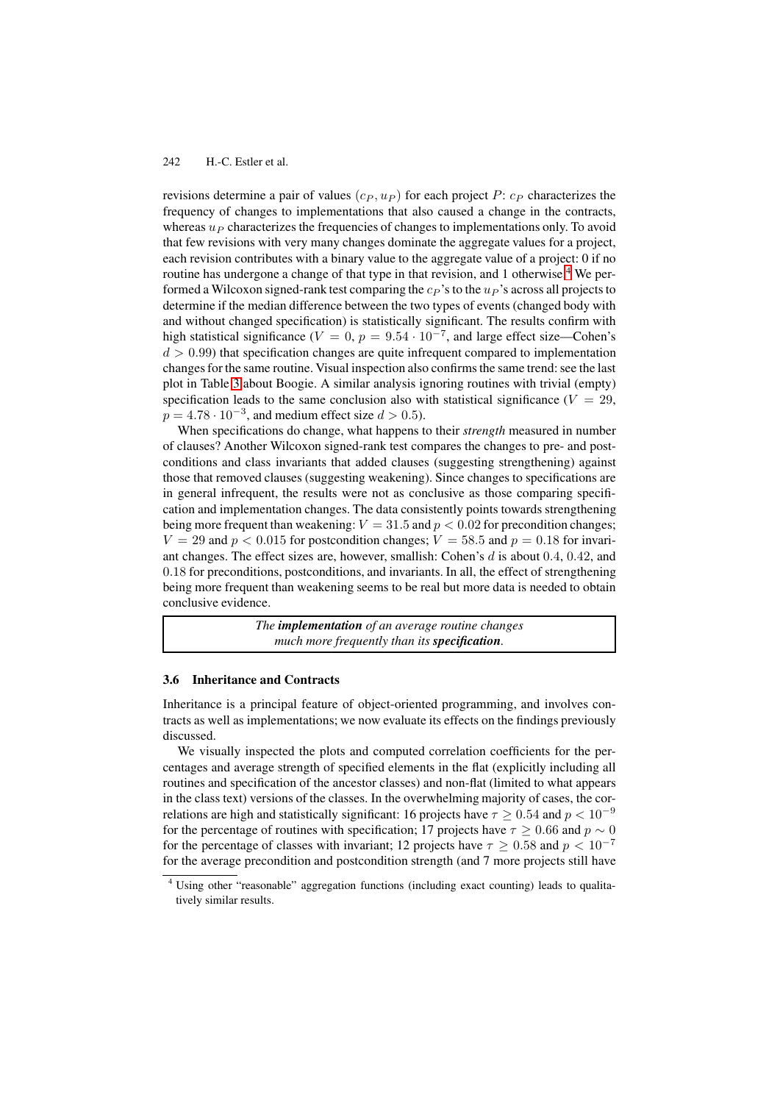revisions determine a pair of values  $(c_P, u_P)$  for each project P:  $c_P$  characterizes the frequency of changes to implementations that also caused a change in the contracts, whereas  $u<sub>P</sub>$  characterizes the frequencies of changes to implementations only. To avoid that few revisions with very many changes dominate the aggregate values for a project, each revision contributes with a binary value to the aggregate value of a project: 0 if no routine has undergone a change of that type in that revision, and 1 otherwise.<sup>[4](#page-12-0)</sup> We performed a Wilcoxon signed-rank test comparing the c*<sup>P</sup>* 's to the u*<sup>P</sup>* 's across all projects to determine if the median difference between the two types of events (changed body with and without changed specification) is statistically significant. The results confirm with high statistical significance ( $V = 0$ ,  $p = 9.54 \cdot 10^{-7}$ , and large effect size—Cohen's  $d > 0.99$ ) that specification changes are quite infrequent compared to implementation changes for the same routine. Visual inspection also confirms the same trend: see the last plot in Table [3](#page-5-0) about Boogie. A similar analysis ignoring routines with trivial (empty) specification leads to the same conclusion also with statistical significance ( $V = 29$ ,  $p = 4.78 \cdot 10^{-3}$ , and medium effect size  $d > 0.5$ ).

When specifications do change, what happens to their *strength* measured in number of clauses? Another Wilcoxon signed-rank test compares the changes to pre- and postconditions and class invariants that added clauses (suggesting strengthening) against those that removed clauses (suggesting weakening). Since changes to specifications are in general infrequent, the results were not as conclusive as those comparing specification and implementation changes. The data consistently points towards strengthening being more frequent than weakening:  $V = 31.5$  and  $p < 0.02$  for precondition changes;  $V = 29$  and  $p < 0.015$  for postcondition changes;  $V = 58.5$  and  $p = 0.18$  for invariant changes. The effect sizes are, however, smallish: Cohen's d is about 0.4, 0.42, and 0.18 for preconditions, postconditions, and invariants. In all, the effect of strengthening being more frequent than weakening seems to be real but more data is needed to obtain conclusive evidence.

> *The implementation of an average routine changes much more frequently than its specification.*

## <span id="page-12-1"></span>**3.6 Inheritance and Contracts**

Inheritance is a principal feature of object-oriented programming, and involves contracts as well as implementations; we now evaluate its effects on the findings previously discussed.

We visually inspected the plots and computed correlation coefficients for the percentages and average strength of specified elements in the flat (explicitly including all routines and specification of the ancestor classes) and non-flat (limited to what appears in the class text) versions of the classes. In the overwhelming majority of cases, the correlations are high and statistically significant: 16 projects have  $\tau \ge 0.54$  and  $p < 10^{-9}$ for the percentage of routines with specification; 17 projects have  $\tau \ge 0.66$  and  $p \sim 0$ for the percentage of classes with invariant; 12 projects have  $\tau > 0.58$  and  $p < 10^{-7}$ for the average precondition and postcondition strength (and 7 more projects still have

<span id="page-12-0"></span>Using other "reasonable" aggregation functions (including exact counting) leads to qualitatively similar results.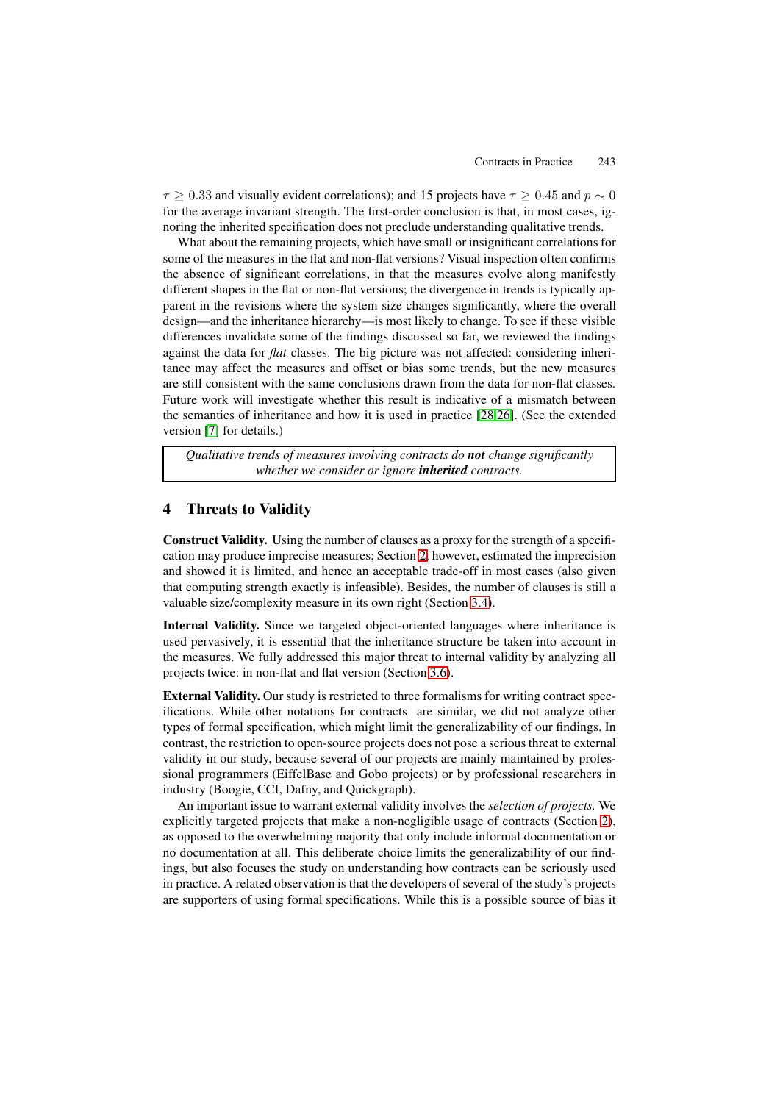$\tau \geq 0.33$  and visually evident correlations); and 15 projects have  $\tau \geq 0.45$  and  $p \sim 0$ for the average invariant strength. The first-order conclusion is that, in most cases, ignoring the inherited specification does not preclude understanding qualitative trends.

What about the remaining projects, which have small or insignificant correlations for some of the measures in the flat and non-flat versions? Visual inspection often confirms the absence of significant correlations, in that the measures evolve along manifestly different shapes in the flat or non-flat versions; the divergence in trends is typically apparent in the revisions where the system size changes significantly, where the overall design—and the inheritance hierarchy—is most likely to change. To see if these visible differences invalidate some of the findings discussed so far, we reviewed the findings against the data for *flat* classes. The big picture was not affected: considering inheritance may affect the measures and offset or bias some trends, but the new measures are still consistent with the same conclusions drawn from the data for non-flat classes. Future work will investigate whether this result is indicative of a mismatch between the semantics of inheritance and how it is used in practice [\[28](#page-16-13)[,26\]](#page-16-14). (See the extended version [\[7\]](#page-15-2) for details.)

*Qualitative trends of measures involving contracts do not change significantly whether we consider or ignore inherited contracts.*

# **4 Threats to Validity**

**Construct Validity.** Using the number of clauses as a proxy for the strength of a specification may produce imprecise measures; Section [2,](#page-2-0) however, estimated the imprecision and showed it is limited, and hence an acceptable trade-off in most cases (also given that computing strength exactly is infeasible). Besides, the number of clauses is still a valuable size/complexity measure in its own right (Section [3.4\)](#page-10-0).

**Internal Validity.** Since we targeted object-oriented languages where inheritance is used pervasively, it is essential that the inheritance structure be taken into account in the measures. We fully addressed this major threat to internal validity by analyzing all projects twice: in non-flat and flat version (Section [3.6\)](#page-12-1).

**External Validity.** Our study is restricted to three formalisms for writing contract specifications. While other notations for contracts are similar, we did not analyze other types of formal specification, which might limit the generalizability of our findings. In contrast, the restriction to open-source projects does not pose a serious threat to external validity in our study, because several of our projects are mainly maintained by professional programmers (EiffelBase and Gobo projects) or by professional researchers in industry (Boogie, CCI, Dafny, and Quickgraph).

An important issue to warrant external validity involves the *selection of projects.* We explicitly targeted projects that make a non-negligible usage of contracts (Section [2\)](#page-2-1), as opposed to the overwhelming majority that only include informal documentation or no documentation at all. This deliberate choice limits the generalizability of our findings, but also focuses the study on understanding how contracts can be seriously used in practice. A related observation is that the developers of several of the study's projects are supporters of using formal specifications. While this is a possible source of bias it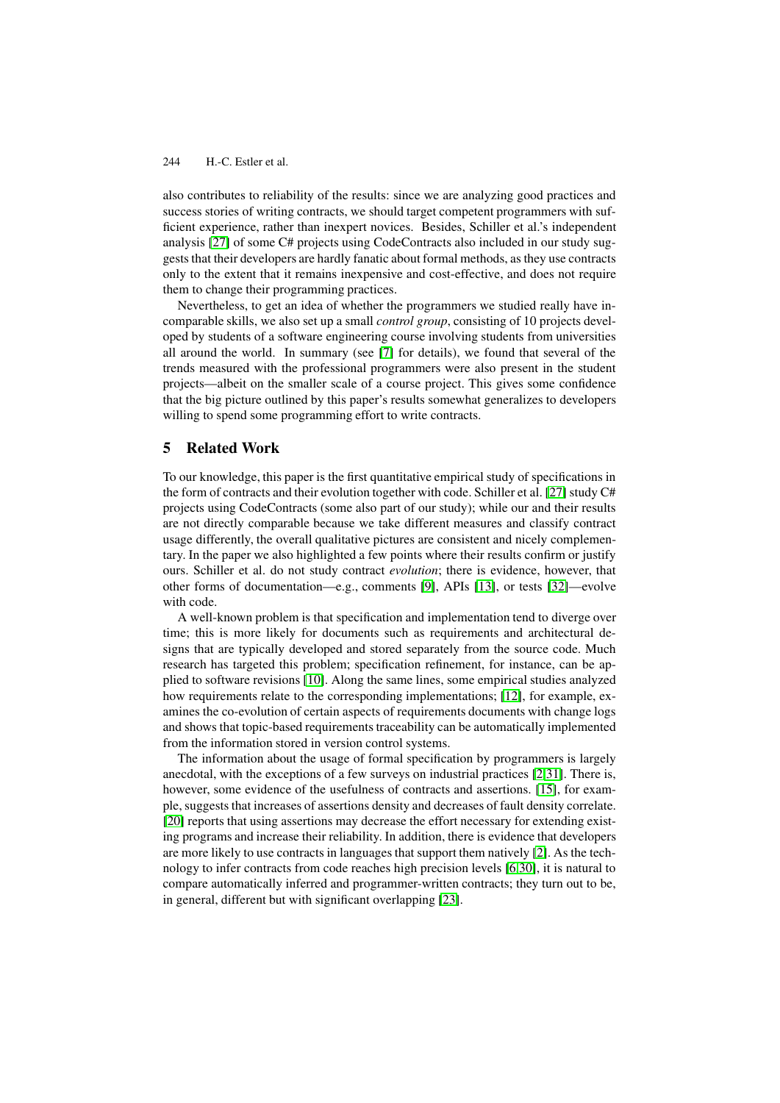also contributes to reliability of the results: since we are analyzing good practices and success stories of writing contracts, we should target competent programmers with sufficient experience, rather than inexpert novices. Besides, Schiller et al.'s independent analysis [\[27\]](#page-16-5) of some C# projects using CodeContracts also included in our study suggests that their developers are hardly fanatic about formal methods, as they use contracts only to the extent that it remains inexpensive and cost-effective, and does not require them to change their programming practices.

Nevertheless, to get an idea of whether the programmers we studied really have incomparable skills, we also set up a small *control group*, consisting of 10 projects developed by students of a software engineering course involving students from universities all around the world. In summary (see [\[7\]](#page-15-2) for details), we found that several of the trends measured with the professional programmers were also present in the student projects—albeit on the smaller scale of a course project. This gives some confidence that the big picture outlined by this paper's results somewhat generalizes to developers willing to spend some programming effort to write contracts.

## **5 Related Work**

To our knowledge, this paper is the first quantitative empirical study of specifications in the form of contracts and their evolution together with code. Schiller et al. [\[27\]](#page-16-5) study C# projects using CodeContracts (some also part of our study); while our and their results are not directly comparable because we take different measures and classify contract usage differently, the overall qualitative pictures are consistent and nicely complementary. In the paper we also highlighted a few points where their results confirm or justify ours. Schiller et al. do not study contract *evolution*; there is evidence, however, that other forms of documentation—e.g., comments [\[9\]](#page-16-15), APIs [\[13\]](#page-16-16), or tests [\[32\]](#page-16-17)—evolve with code.

A well-known problem is that specification and implementation tend to diverge over time; this is more likely for documents such as requirements and architectural designs that are typically developed and stored separately from the source code. Much research has targeted this problem; specification refinement, for instance, can be applied to software revisions [\[10\]](#page-16-18). Along the same lines, some empirical studies analyzed how requirements relate to the corresponding implementations; [\[12\]](#page-16-19), for example, examines the co-evolution of certain aspects of requirements documents with change logs and shows that topic-based requirements traceability can be automatically implemented from the information stored in version control systems.

The information about the usage of formal specification by programmers is largely anecdotal, with the exceptions of a few surveys on industrial practices [\[2](#page-15-6)[,31\]](#page-16-20). There is, however, some evidence of the usefulness of contracts and assertions. [\[15\]](#page-16-21), for example, suggests that increases of assertions density and decreases of fault density correlate. [\[20\]](#page-16-22) reports that using assertions may decrease the effort necessary for extending existing programs and increase their reliability. In addition, there is evidence that developers are more likely to use contracts in languages that support them natively [\[2\]](#page-15-6). As the technology to infer contracts from code reaches high precision levels [\[6](#page-15-7)[,30\]](#page-16-8), it is natural to compare automatically inferred and programmer-written contracts; they turn out to be, in general, different but with significant overlapping [\[23\]](#page-16-23).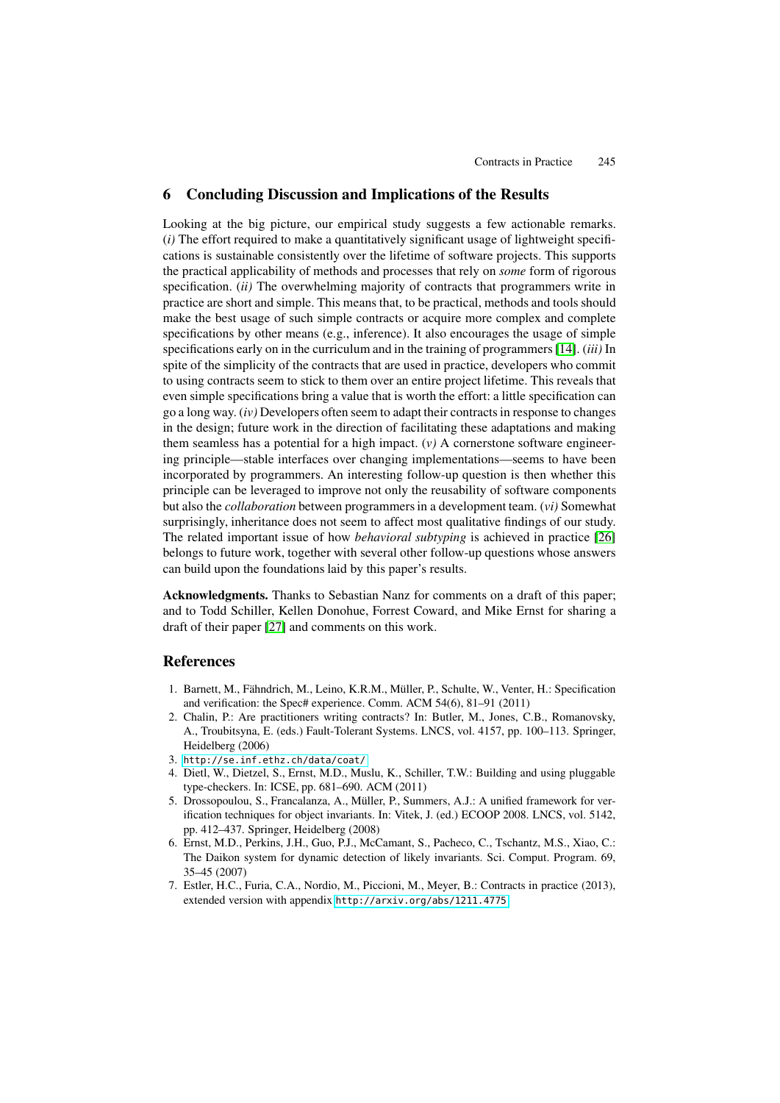# **6 Concluding Discussion and Implications of the Results**

Looking at the big picture, our empirical study suggests a few actionable remarks. (*i)* The effort required to make a quantitatively significant usage of lightweight specifications is sustainable consistently over the lifetime of software projects. This supports the practical applicability of methods and processes that rely on *some* form of rigorous specification. (*ii)* The overwhelming majority of contracts that programmers write in practice are short and simple. This means that, to be practical, methods and tools should make the best usage of such simple contracts or acquire more complex and complete specifications by other means (e.g., inference). It also encourages the usage of simple specifications early on in the curriculum and in the training of programmers [\[14\]](#page-16-24). (*iii)* In spite of the simplicity of the contracts that are used in practice, developers who commit to using contracts seem to stick to them over an entire project lifetime. This reveals that even simple specifications bring a value that is worth the effort: a little specification can go a long way. (*iv)* Developers often seem to adapt their contracts in response to changes in the design; future work in the direction of facilitating these adaptations and making them seamless has a potential for a high impact.  $(v)$  A cornerstone software engineering principle—stable interfaces over changing implementations—seems to have been incorporated by programmers. An interesting follow-up question is then whether this principle can be leveraged to improve not only the reusability of software components but also the *collaboration* between programmers in a development team. (*vi)* Somewhat surprisingly, inheritance does not seem to affect most qualitative findings of our study. The related important issue of how *behavioral subtyping* is achieved in practice [\[26\]](#page-16-14) belongs to future work, together with several other follow-up questions whose answers can build upon the foundations laid by this paper's results.

**Acknowledgments.** Thanks to Sebastian Nanz for comments on a draft of this paper; and to Todd Schiller, Kellen Donohue, Forrest Coward, and Mike Ernst for sharing a draft of their paper [\[27\]](#page-16-5) and comments on this work.

## <span id="page-15-3"></span><span id="page-15-0"></span>**References**

- 1. Barnett, M., Fähndrich, M., Leino, K.R.M., Müller, P., Schulte, W., Venter, H.: Specification and verification: the Spec# experience. Comm. ACM 54(6), 81–91 (2011)
- <span id="page-15-6"></span>2. Chalin, P.: Are practitioners writing contracts? In: Butler, M., Jones, C.B., Romanovsky, A., Troubitsyna, E. (eds.) Fault-Tolerant Systems. LNCS, vol. 4157, pp. 100–113. Springer, Heidelberg (2006)
- <span id="page-15-4"></span><span id="page-15-1"></span>3. <http://se.inf.ethz.ch/data/coat/>
- 4. Dietl, W., Dietzel, S., Ernst, M.D., Muslu, K., Schiller, T.W.: Building and using pluggable type-checkers. In: ICSE, pp. 681–690. ACM (2011)
- <span id="page-15-5"></span>5. Drossopoulou, S., Francalanza, A., Müller, P., Summers, A.J.: A unified framework for verification techniques for object invariants. In: Vitek, J. (ed.) ECOOP 2008. LNCS, vol. 5142, pp. 412–437. Springer, Heidelberg (2008)
- <span id="page-15-7"></span>6. Ernst, M.D., Perkins, J.H., Guo, P.J., McCamant, S., Pacheco, C., Tschantz, M.S., Xiao, C.: The Daikon system for dynamic detection of likely invariants. Sci. Comput. Program. 69, 35–45 (2007)
- <span id="page-15-2"></span>7. Estler, H.C., Furia, C.A., Nordio, M., Piccioni, M., Meyer, B.: Contracts in practice (2013), extended version with appendix <http://arxiv.org/abs/1211.4775>